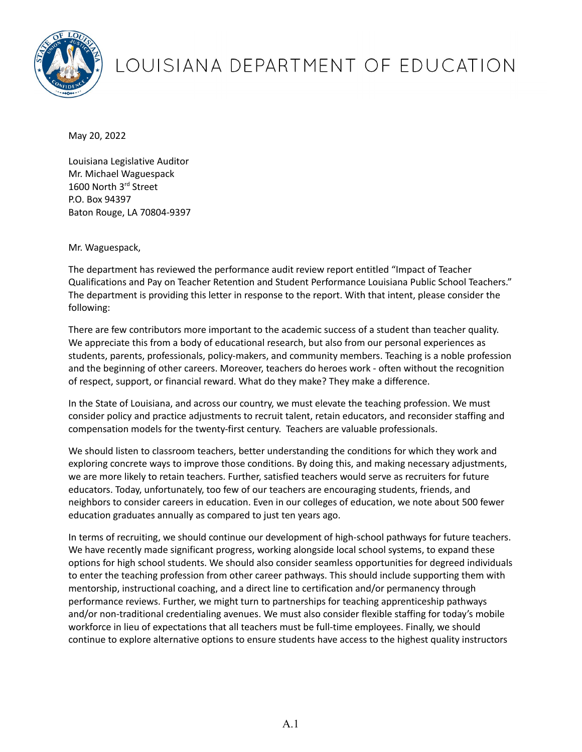

## LOUISIANA DEPARTMENT OF EDUCATION

May 20, 2022

Louisiana Legislative Auditor Mr. Michael Waguespack 1600 North 3rd Street P.O. Box 94397 Baton Rouge, LA 70804-9397

Mr. Waguespack,

The department has reviewed the performance audit review report entitled "Impact of Teacher Qualifications and Pay on Teacher Retention and Student Performance Louisiana Public School Teachers." The department is providing this letter in response to the report. With that intent, please consider the following:

There are few contributors more important to the academic success of a student than teacher quality. We appreciate this from a body of educational research, but also from our personal experiences as students, parents, professionals, policy-makers, and community members. Teaching is a noble profession and the beginning of other careers. Moreover, teachers do heroes work - often without the recognition of respect, support, or financial reward. What do they make? They make a difference.

In the State of Louisiana, and across our country, we must elevate the teaching profession. We must consider policy and practice adjustments to recruit talent, retain educators, and reconsider staffing and compensation models for the twenty-first century. Teachers are valuable professionals.

We should listen to classroom teachers, better understanding the conditions for which they work and exploring concrete ways to improve those conditions. By doing this, and making necessary adjustments, we are more likely to retain teachers. Further, satisfied teachers would serve as recruiters for future educators. Today, unfortunately, too few of our teachers are encouraging students, friends, and neighbors to consider careers in education. Even in our colleges of education, we note about 500 fewer education graduates annually as compared to just ten years ago.

In terms of recruiting, we should continue our development of high-school pathways for future teachers. We have recently made significant progress, working alongside local school systems, to expand these options for high school students. We should also consider seamless opportunities for degreed individuals to enter the teaching profession from other career pathways. This should include supporting them with mentorship, instructional coaching, and a direct line to certification and/or permanency through performance reviews. Further, we might turn to partnerships for teaching apprenticeship pathways and/or non-traditional credentialing avenues. We must also consider flexible staffing for today's mobile workforce in lieu of expectations that all teachers must be full-time employees. Finally, we should continue to explore alternative options to ensure students have access to the highest quality instructors